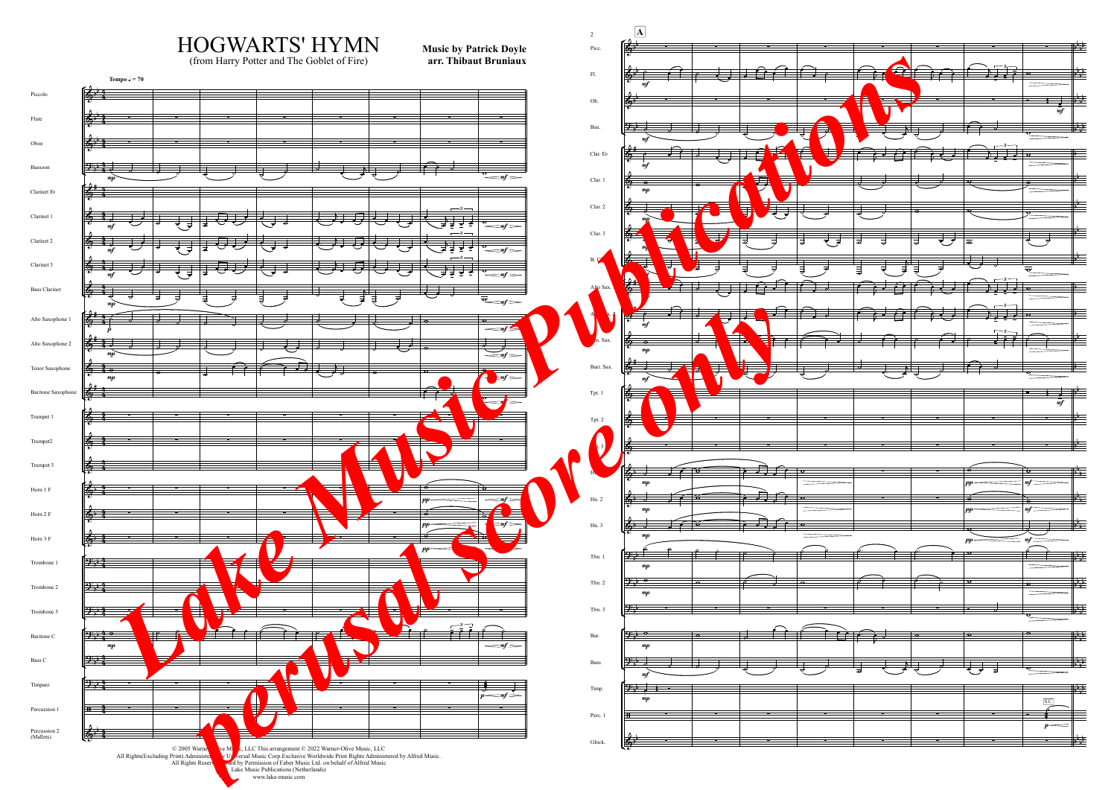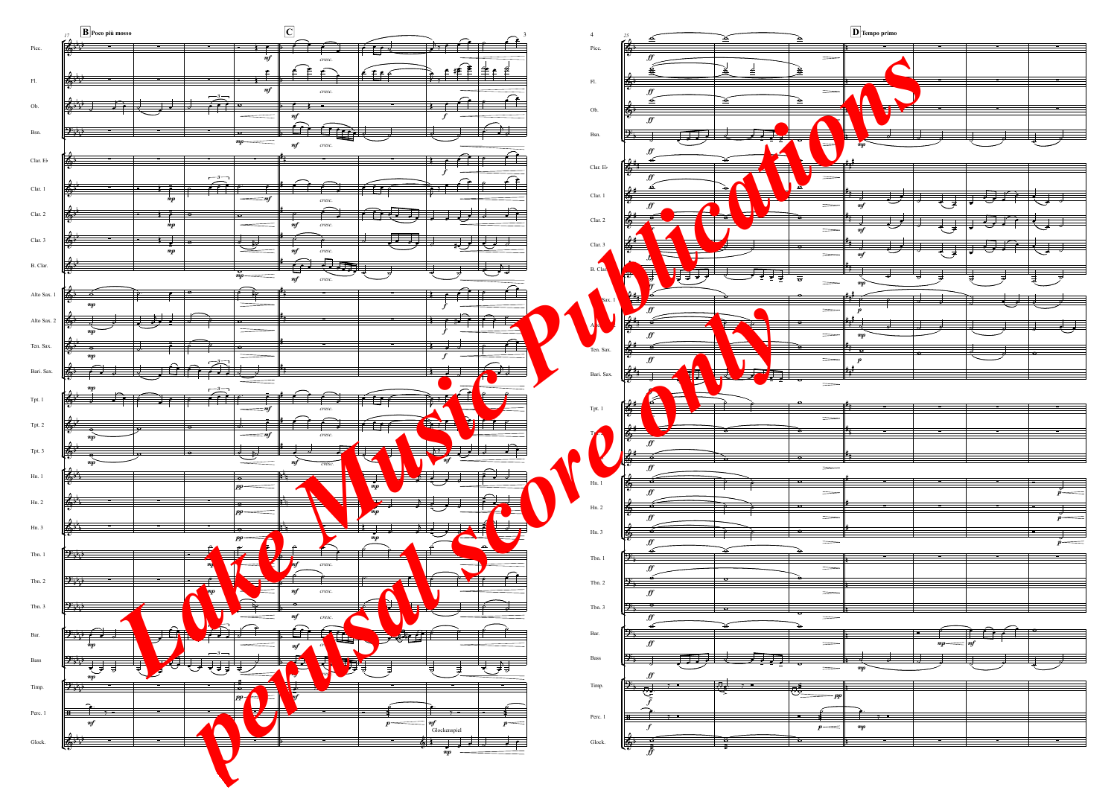